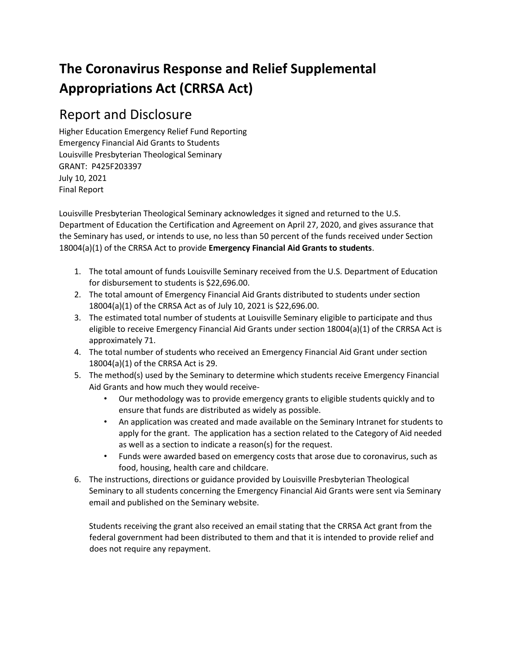# **The Coronavirus Response and Relief Supplemental Appropriations Act (CRRSA Act)**

## Report and Disclosure

Higher Education Emergency Relief Fund Reporting Emergency Financial Aid Grants to Students Louisville Presbyterian Theological Seminary GRANT: P425F203397 July 10, 2021 Final Report

Louisville Presbyterian Theological Seminary acknowledges it signed and returned to the U.S. Department of Education the Certification and Agreement on April 27, 2020, and gives assurance that the Seminary has used, or intends to use, no less than 50 percent of the funds received under Section 18004(a)(1) of the CRRSA Act to provide **Emergency Financial Aid Grants to students**.

- 1. The total amount of funds Louisville Seminary received from the U.S. Department of Education for disbursement to students is \$22,696.00.
- 2. The total amount of Emergency Financial Aid Grants distributed to students under section 18004(a)(1) of the CRRSA Act as of July 10, 2021 is \$22,696.00.
- 3. The estimated total number of students at Louisville Seminary eligible to participate and thus eligible to receive Emergency Financial Aid Grants under section 18004(a)(1) of the CRRSA Act is approximately 71.
- 4. The total number of students who received an Emergency Financial Aid Grant under section 18004(a)(1) of the CRRSA Act is 29.
- 5. The method(s) used by the Seminary to determine which students receive Emergency Financial Aid Grants and how much they would receive-
	- Our methodology was to provide emergency grants to eligible students quickly and to ensure that funds are distributed as widely as possible.
	- An application was created and made available on the Seminary Intranet for students to apply for the grant. The application has a section related to the Category of Aid needed as well as a section to indicate a reason(s) for the request.
	- Funds were awarded based on emergency costs that arose due to coronavirus, such as food, housing, health care and childcare.
- 6. The instructions, directions or guidance provided by Louisville Presbyterian Theological Seminary to all students concerning the Emergency Financial Aid Grants were sent via Seminary email and published on the Seminary website.

Students receiving the grant also received an email stating that the CRRSA Act grant from the federal government had been distributed to them and that it is intended to provide relief and does not require any repayment.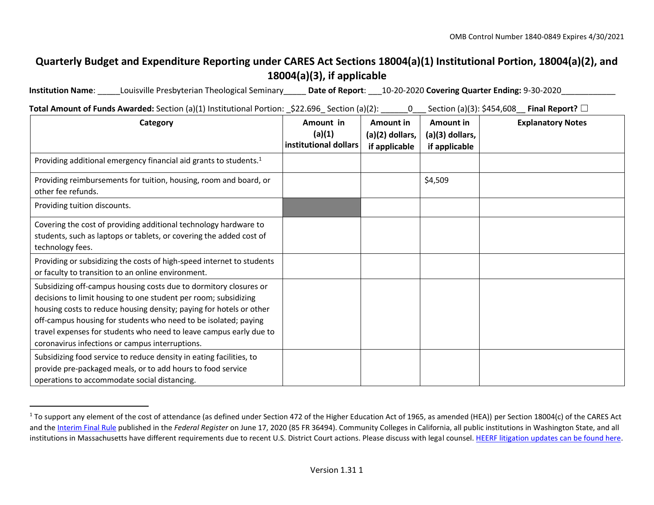## **Quarterly Budget and Expenditure Reporting under CARES Act Sections 18004(a)(1) Institutional Portion, 18004(a)(2), and 18004(a)(3), if applicable**

**Institution Name**: \_\_\_\_\_Louisville Presbyterian Theological Seminary\_\_\_\_\_ **Date of Report**: \_\_\_10-20-2020 **Covering Quarter Ending:** 9-30-2020\_\_\_\_\_\_\_\_\_\_\_\_

**Total Amount of Funds Awarded:** Section (a)(1) Institutional Portion: \$22.696 Section (a)(2): 0 Section (a)(3): \$454,608 **Final Report?** □

| Category                                                                                                                                                                                                                                                                                                                                                                                                | Amount in<br>(a)(1)<br>institutional dollars | Amount in<br>(a)(2) dollars,<br>if applicable | Amount in<br>(a)(3) dollars,<br>if applicable | <b>Explanatory Notes</b> |
|---------------------------------------------------------------------------------------------------------------------------------------------------------------------------------------------------------------------------------------------------------------------------------------------------------------------------------------------------------------------------------------------------------|----------------------------------------------|-----------------------------------------------|-----------------------------------------------|--------------------------|
| Providing additional emergency financial aid grants to students. <sup>1</sup>                                                                                                                                                                                                                                                                                                                           |                                              |                                               |                                               |                          |
| Providing reimbursements for tuition, housing, room and board, or<br>other fee refunds.                                                                                                                                                                                                                                                                                                                 |                                              |                                               | \$4,509                                       |                          |
| Providing tuition discounts.                                                                                                                                                                                                                                                                                                                                                                            |                                              |                                               |                                               |                          |
| Covering the cost of providing additional technology hardware to<br>students, such as laptops or tablets, or covering the added cost of<br>technology fees.                                                                                                                                                                                                                                             |                                              |                                               |                                               |                          |
| Providing or subsidizing the costs of high-speed internet to students<br>or faculty to transition to an online environment.                                                                                                                                                                                                                                                                             |                                              |                                               |                                               |                          |
| Subsidizing off-campus housing costs due to dormitory closures or<br>decisions to limit housing to one student per room; subsidizing<br>housing costs to reduce housing density; paying for hotels or other<br>off-campus housing for students who need to be isolated; paying<br>travel expenses for students who need to leave campus early due to<br>coronavirus infections or campus interruptions. |                                              |                                               |                                               |                          |
| Subsidizing food service to reduce density in eating facilities, to<br>provide pre-packaged meals, or to add hours to food service<br>operations to accommodate social distancing.                                                                                                                                                                                                                      |                                              |                                               |                                               |                          |

 $1$  To support any element of the cost of attendance (as defined under Section 472 of the Higher Education Act of 1965, as amended (HEA)) per Section 18004(c) of the CARES Act and t[he Interim Final Rule](https://www.federalregister.gov/documents/2020/06/17/2020-12965/eligibility-of-students-at-institutions-of-higher-education-for-funds-under-the-coronavirus-aid) [pu](https://www.federalregister.gov/documents/2020/06/17/2020-12965/eligibility-of-students-at-institutions-of-higher-education-for-funds-under-the-coronavirus-aid)blished in the *Federal Register* on June 17, 2020 (85 FR 36494). Community Colleges in California, all public institutions in Washington State, and all institutions in Massachusetts have different requirements due to recent U.S. District Court actions. Please discuss with legal couns[el. HEERF litigation updates can be found here.](https://www2.ed.gov/about/offices/list/ope/heerfupdates.html)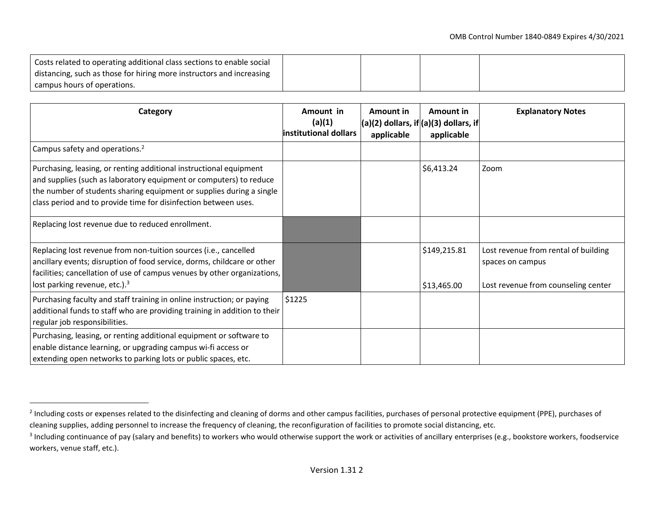| Costs related to operating additional class sections to enable social |  |  |
|-----------------------------------------------------------------------|--|--|
| distancing, such as those for hiring more instructors and increasing  |  |  |
| campus hours of operations.                                           |  |  |
|                                                                       |  |  |

| Category                                                                                                                                                                                                                                                                            | Amount in<br>(a)(1)<br>institutional dollars | Amount in<br>$\vert$ (a)(2) dollars, if $\vert$ (a)(3) dollars, if $\vert$<br>applicable | Amount in<br>applicable     | <b>Explanatory Notes</b>                                                                        |
|-------------------------------------------------------------------------------------------------------------------------------------------------------------------------------------------------------------------------------------------------------------------------------------|----------------------------------------------|------------------------------------------------------------------------------------------|-----------------------------|-------------------------------------------------------------------------------------------------|
| Campus safety and operations. <sup>2</sup>                                                                                                                                                                                                                                          |                                              |                                                                                          |                             |                                                                                                 |
| Purchasing, leasing, or renting additional instructional equipment<br>and supplies (such as laboratory equipment or computers) to reduce<br>the number of students sharing equipment or supplies during a single<br>class period and to provide time for disinfection between uses. |                                              |                                                                                          | \$6,413.24                  | Zoom                                                                                            |
| Replacing lost revenue due to reduced enrollment.                                                                                                                                                                                                                                   |                                              |                                                                                          |                             |                                                                                                 |
| Replacing lost revenue from non-tuition sources (i.e., cancelled<br>ancillary events; disruption of food service, dorms, childcare or other<br>facilities; cancellation of use of campus venues by other organizations,<br>lost parking revenue, etc.). <sup>3</sup>                |                                              |                                                                                          | \$149,215.81<br>\$13,465.00 | Lost revenue from rental of building<br>spaces on campus<br>Lost revenue from counseling center |
| Purchasing faculty and staff training in online instruction; or paying<br>additional funds to staff who are providing training in addition to their<br>regular job responsibilities.                                                                                                | \$1225                                       |                                                                                          |                             |                                                                                                 |
| Purchasing, leasing, or renting additional equipment or software to<br>enable distance learning, or upgrading campus wi-fi access or<br>extending open networks to parking lots or public spaces, etc.                                                                              |                                              |                                                                                          |                             |                                                                                                 |

<sup>&</sup>lt;sup>2</sup> Including costs or expenses related to the disinfecting and cleaning of dorms and other campus facilities, purchases of personal protective equipment (PPE), purchases of cleaning supplies, adding personnel to increase the frequency of cleaning, the reconfiguration of facilities to promote social distancing, etc.

 $3$  Including continuance of pay (salary and benefits) to workers who would otherwise support the work or activities of ancillary enterprises (e.g., bookstore workers, foodservice workers, venue staff, etc.).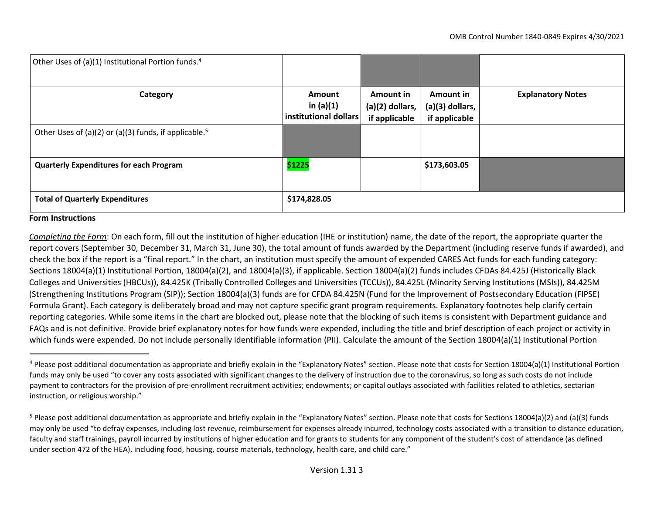| Other Uses of (a)(1) Institutional Portion funds. <sup>4</sup>    |                                                |                                               |                                                 |                          |
|-------------------------------------------------------------------|------------------------------------------------|-----------------------------------------------|-------------------------------------------------|--------------------------|
| Category                                                          | Amount<br>in $(a)(1)$<br>institutional dollars | Amount in<br>(a)(2) dollars,<br>if applicable | Amount in<br>$(a)(3)$ dollars,<br>if applicable | <b>Explanatory Notes</b> |
| Other Uses of (a)(2) or (a)(3) funds, if applicable. <sup>5</sup> |                                                |                                               |                                                 |                          |
| <b>Quarterly Expenditures for each Program</b>                    | \$1225                                         |                                               | \$173,603.05                                    |                          |
| <b>Total of Quarterly Expenditures</b>                            | \$174,828.05                                   |                                               |                                                 |                          |

#### **Form Instructions**

*Completing the Form*: On each form, fill out the institution of higher education (IHE or institution) name, the date of the report, the appropriate quarter the report covers (September 30, December 31, March 31, June 30), the total amount of funds awarded by the Department (including reserve funds if awarded), and check the box if the report is a "final report." In the chart, an institution must specify the amount of expended CARES Act funds for each funding category: Sections 18004(a)(1) Institutional Portion, 18004(a)(2), and 18004(a)(3), if applicable. Section 18004(a)(2) funds includes CFDAs 84.425J (Historically Black Colleges and Universities (HBCUs)), 84.425K (Tribally Controlled Colleges and Universities (TCCUs)), 84.425L (Minority Serving Institutions (MSIs)), 84.425M (Strengthening Institutions Program (SIP)); Section 18004(a)(3) funds are for CFDA 84.425N (Fund for the Improvement of Postsecondary Education (FIPSE) Formula Grant). Each category is deliberately broad and may not capture specific grant program requirements. Explanatory footnotes help clarify certain reporting categories. While some items in the chart are blocked out, please note that the blocking of such items is consistent with Department guidance and FAQs and is not definitive. Provide brief explanatory notes for how funds were expended, including the title and brief description of each project or activity in which funds were expended. Do not include personally identifiable information (PII). Calculate the amount of the Section 18004(a)(1) Institutional Portion

<sup>&</sup>lt;sup>4</sup> Please post additional documentation as appropriate and briefly explain in the "Explanatory Notes" section. Please note that costs for Section 18004(a)(1) Institutional Portion funds may only be used "to cover any costs associated with significant changes to the delivery of instruction due to the coronavirus, so long as such costs do not include payment to contractors for the provision of pre-enrollment recruitment activities; endowments; or capital outlays associated with facilities related to athletics, sectarian instruction, or religious worship."

 $5$  Please post additional documentation as appropriate and briefly explain in the "Explanatory Notes" section. Please note that costs for Sections 18004(a)(2) and (a)(3) funds may only be used "to defray expenses, including lost revenue, reimbursement for expenses already incurred, technology costs associated with a transition to distance education, faculty and staff trainings, payroll incurred by institutions of higher education and for grants to students for any component of the student's cost of attendance (as defined under section 472 of the HEA), including food, housing, course materials, technology, health care, and child care."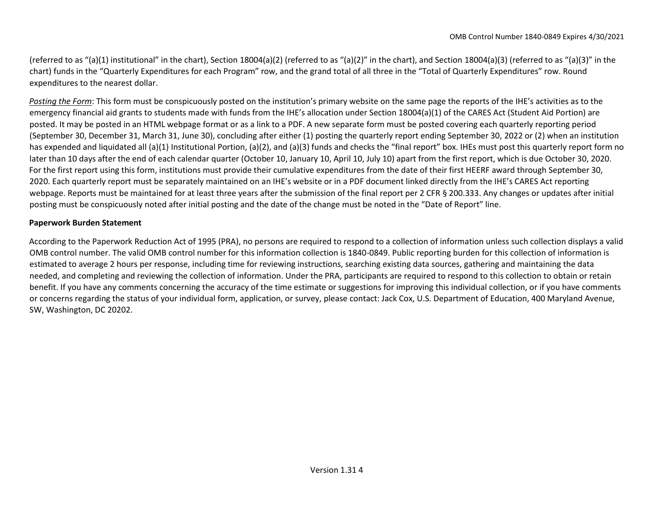(referred to as "(a)(1) institutional" in the chart), Section 18004(a)(2) (referred to as "(a)(2)" in the chart), and Section 18004(a)(3) (referred to as "(a)(3)" in the chart) funds in the "Quarterly Expenditures for each Program" row, and the grand total of all three in the "Total of Quarterly Expenditures" row. Round expenditures to the nearest dollar.

*Posting the Form*: This form must be conspicuously posted on the institution's primary website on the same page the reports of the IHE's activities as to the emergency financial aid grants to students made with funds from the IHE's allocation under Section 18004(a)(1) of the CARES Act (Student Aid Portion) are posted. It may be posted in an HTML webpage format or as a link to a PDF. A new separate form must be posted covering each quarterly reporting period (September 30, December 31, March 31, June 30), concluding after either (1) posting the quarterly report ending September 30, 2022 or (2) when an institution has expended and liquidated all (a)(1) Institutional Portion, (a)(2), and (a)(3) funds and checks the "final report" box. IHEs must post this quarterly report form no later than 10 days after the end of each calendar quarter (October 10, January 10, April 10, July 10) apart from the first report, which is due October 30, 2020. For the first report using this form, institutions must provide their cumulative expenditures from the date of their first HEERF award through September 30, 2020. Each quarterly report must be separately maintained on an IHE's website or in a PDF document linked directly from the IHE's CARES Act reporting webpage. Reports must be maintained for at least three years after the submission of the final report per 2 CFR § 200.333. Any changes or updates after initial posting must be conspicuously noted after initial posting and the date of the change must be noted in the "Date of Report" line.

#### **Paperwork Burden Statement**

According to the Paperwork Reduction Act of 1995 (PRA), no persons are required to respond to a collection of information unless such collection displays a valid OMB control number. The valid OMB control number for this information collection is 1840-0849. Public reporting burden for this collection of information is estimated to average 2 hours per response, including time for reviewing instructions, searching existing data sources, gathering and maintaining the data needed, and completing and reviewing the collection of information. Under the PRA, participants are required to respond to this collection to obtain or retain benefit. If you have any comments concerning the accuracy of the time estimate or suggestions for improving this individual collection, or if you have comments or concerns regarding the status of your individual form, application, or survey, please contact: Jack Cox, U.S. Department of Education, 400 Maryland Avenue, SW, Washington, DC 20202.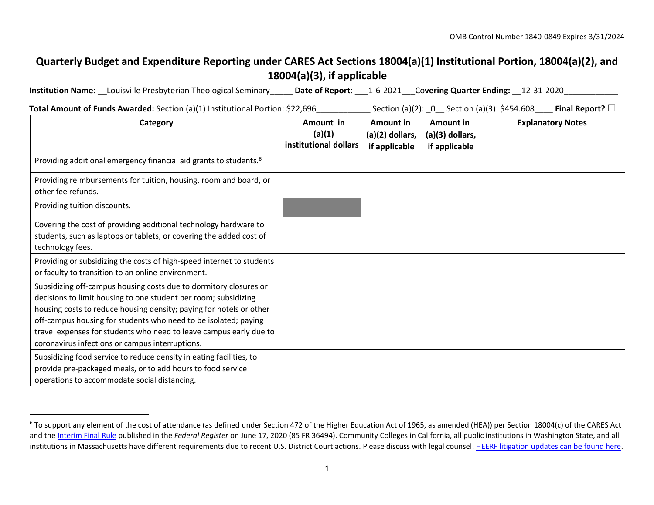## **Quarterly Budget and Expenditure Reporting under CARES Act Sections 18004(a)(1) Institutional Portion, 18004(a)(2), and 18004(a)(3), if applicable**

**Institution Name**: \_\_Louisville Presbyterian Theological Seminary\_\_\_\_\_ **Date of Report**: \_\_\_1-6-2021\_\_\_Co**vering Quarter Ending:** \_\_12-31-2020\_\_\_\_\_\_\_\_\_\_\_\_

**Total Amount of Funds Awarded:** Section (a)(1) Institutional Portion: \$22,696\_\_\_\_\_\_\_\_\_\_\_\_ Section (a)(2): \_0\_\_ Section (a)(3): \$454.608\_\_\_\_ **Final Report?** ☐

| Category                                                                                                                                                                                                                                                                                                                                                                                                | Amount in<br>(a)(1)<br>institutional dollars | Amount in<br>$(a)(2)$ dollars,<br>if applicable | Amount in<br>(a)(3) dollars,<br>if applicable | <b>Explanatory Notes</b> |
|---------------------------------------------------------------------------------------------------------------------------------------------------------------------------------------------------------------------------------------------------------------------------------------------------------------------------------------------------------------------------------------------------------|----------------------------------------------|-------------------------------------------------|-----------------------------------------------|--------------------------|
| Providing additional emergency financial aid grants to students. <sup>6</sup>                                                                                                                                                                                                                                                                                                                           |                                              |                                                 |                                               |                          |
| Providing reimbursements for tuition, housing, room and board, or<br>other fee refunds.                                                                                                                                                                                                                                                                                                                 |                                              |                                                 |                                               |                          |
| Providing tuition discounts.                                                                                                                                                                                                                                                                                                                                                                            |                                              |                                                 |                                               |                          |
| Covering the cost of providing additional technology hardware to<br>students, such as laptops or tablets, or covering the added cost of<br>technology fees.                                                                                                                                                                                                                                             |                                              |                                                 |                                               |                          |
| Providing or subsidizing the costs of high-speed internet to students<br>or faculty to transition to an online environment.                                                                                                                                                                                                                                                                             |                                              |                                                 |                                               |                          |
| Subsidizing off-campus housing costs due to dormitory closures or<br>decisions to limit housing to one student per room; subsidizing<br>housing costs to reduce housing density; paying for hotels or other<br>off-campus housing for students who need to be isolated; paying<br>travel expenses for students who need to leave campus early due to<br>coronavirus infections or campus interruptions. |                                              |                                                 |                                               |                          |
| Subsidizing food service to reduce density in eating facilities, to<br>provide pre-packaged meals, or to add hours to food service<br>operations to accommodate social distancing.                                                                                                                                                                                                                      |                                              |                                                 |                                               |                          |

 $6$  To support any element of the cost of attendance (as defined under Section 472 of the Higher Education Act of 1965, as amended (HEA)) per Section 18004(c) of the CARES Act and t[he Interim Final Rule](https://www.federalregister.gov/documents/2020/06/17/2020-12965/eligibility-of-students-at-institutions-of-higher-education-for-funds-under-the-coronavirus-aid) [pu](https://www.federalregister.gov/documents/2020/06/17/2020-12965/eligibility-of-students-at-institutions-of-higher-education-for-funds-under-the-coronavirus-aid)blished in the *Federal Register* on June 17, 2020 (85 FR 36494). Community Colleges in California, all public institutions in Washington State, and all institutions in Massachusetts have different requirements due to recent U.S. District Court actions. Please discuss with legal couns[el. HEERF litigation updates can be found here.](https://www2.ed.gov/about/offices/list/ope/heerfupdates.html)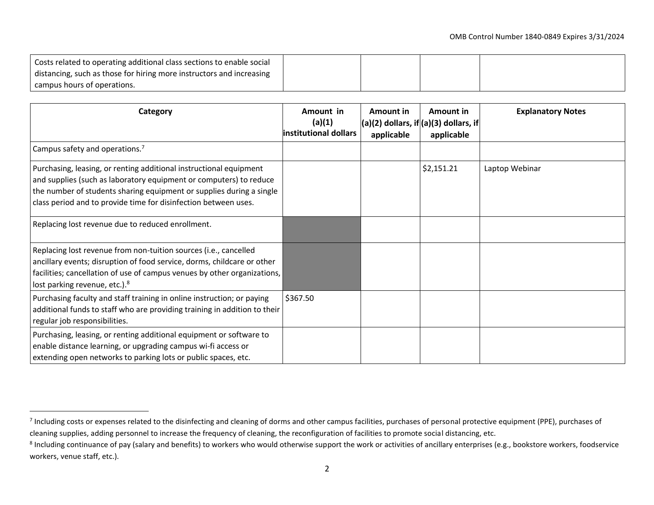| Costs related to operating additional class sections to enable social |  |  |
|-----------------------------------------------------------------------|--|--|
| distancing, such as those for hiring more instructors and increasing  |  |  |
| campus hours of operations.                                           |  |  |
|                                                                       |  |  |

| Category                                                                                                                                                                                                                                                                            | Amount in<br>(a)(1)<br>institutional dollars | Amount in<br>$\vert$ (a)(2) dollars, if $\vert$ (a)(3) dollars, if $\vert$<br>applicable | Amount in<br>applicable | <b>Explanatory Notes</b> |
|-------------------------------------------------------------------------------------------------------------------------------------------------------------------------------------------------------------------------------------------------------------------------------------|----------------------------------------------|------------------------------------------------------------------------------------------|-------------------------|--------------------------|
| Campus safety and operations. <sup>7</sup>                                                                                                                                                                                                                                          |                                              |                                                                                          |                         |                          |
| Purchasing, leasing, or renting additional instructional equipment<br>and supplies (such as laboratory equipment or computers) to reduce<br>the number of students sharing equipment or supplies during a single<br>class period and to provide time for disinfection between uses. |                                              |                                                                                          | \$2,151.21              | Laptop Webinar           |
| Replacing lost revenue due to reduced enrollment.                                                                                                                                                                                                                                   |                                              |                                                                                          |                         |                          |
| Replacing lost revenue from non-tuition sources (i.e., cancelled<br>ancillary events; disruption of food service, dorms, childcare or other<br>facilities; cancellation of use of campus venues by other organizations,<br>lost parking revenue, etc.). <sup>8</sup>                |                                              |                                                                                          |                         |                          |
| Purchasing faculty and staff training in online instruction; or paying<br>additional funds to staff who are providing training in addition to their<br>regular job responsibilities.                                                                                                | \$367.50                                     |                                                                                          |                         |                          |
| Purchasing, leasing, or renting additional equipment or software to<br>enable distance learning, or upgrading campus wi-fi access or<br>extending open networks to parking lots or public spaces, etc.                                                                              |                                              |                                                                                          |                         |                          |

 $^7$  Including costs or expenses related to the disinfecting and cleaning of dorms and other campus facilities, purchases of personal protective equipment (PPE), purchases of cleaning supplies, adding personnel to increase the frequency of cleaning, the reconfiguration of facilities to promote social distancing, etc.

<sup>&</sup>lt;sup>8</sup> Including continuance of pay (salary and benefits) to workers who would otherwise support the work or activities of ancillary enterprises (e.g., bookstore workers, foodservice workers, venue staff, etc.).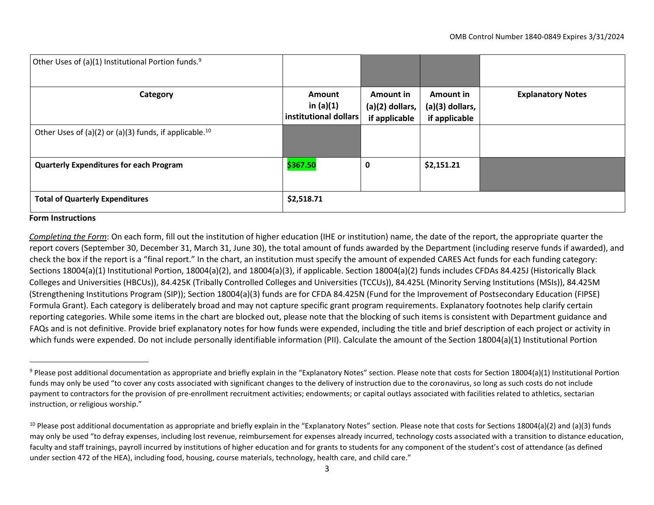| Other Uses of (a)(1) Institutional Portion funds. <sup>9</sup>     |                                                       |                                                      |                                                 |                          |
|--------------------------------------------------------------------|-------------------------------------------------------|------------------------------------------------------|-------------------------------------------------|--------------------------|
| Category                                                           | <b>Amount</b><br>in $(a)(1)$<br>institutional dollars | <b>Amount in</b><br>(a)(2) dollars,<br>if applicable | Amount in<br>$(a)(3)$ dollars,<br>if applicable | <b>Explanatory Notes</b> |
| Other Uses of (a)(2) or (a)(3) funds, if applicable. <sup>10</sup> |                                                       |                                                      |                                                 |                          |
| <b>Quarterly Expenditures for each Program</b>                     | \$367.50                                              | 0                                                    | \$2,151.21                                      |                          |
| <b>Total of Quarterly Expenditures</b>                             | \$2,518.71                                            |                                                      |                                                 |                          |

#### **Form Instructions**

*Completing the Form*: On each form, fill out the institution of higher education (IHE or institution) name, the date of the report, the appropriate quarter the report covers (September 30, December 31, March 31, June 30), the total amount of funds awarded by the Department (including reserve funds if awarded), and check the box if the report is a "final report." In the chart, an institution must specify the amount of expended CARES Act funds for each funding category: Sections 18004(a)(1) Institutional Portion, 18004(a)(2), and 18004(a)(3), if applicable. Section 18004(a)(2) funds includes CFDAs 84.425J (Historically Black Colleges and Universities (HBCUs)), 84.425K (Tribally Controlled Colleges and Universities (TCCUs)), 84.425L (Minority Serving Institutions (MSIs)), 84.425M (Strengthening Institutions Program (SIP)); Section 18004(a)(3) funds are for CFDA 84.425N (Fund for the Improvement of Postsecondary Education (FIPSE) Formula Grant). Each category is deliberately broad and may not capture specific grant program requirements. Explanatory footnotes help clarify certain reporting categories. While some items in the chart are blocked out, please note that the blocking of such items is consistent with Department guidance and FAQs and is not definitive. Provide brief explanatory notes for how funds were expended, including the title and brief description of each project or activity in which funds were expended. Do not include personally identifiable information (PII). Calculate the amount of the Section 18004(a)(1) Institutional Portion

 $9$  Please post additional documentation as appropriate and briefly explain in the "Explanatory Notes" section. Please note that costs for Section 18004(a)(1) Institutional Portion funds may only be used "to cover any costs associated with significant changes to the delivery of instruction due to the coronavirus, so long as such costs do not include payment to contractors for the provision of pre-enrollment recruitment activities; endowments; or capital outlays associated with facilities related to athletics, sectarian instruction, or religious worship."

 $10$  Please post additional documentation as appropriate and briefly explain in the "Explanatory Notes" section. Please note that costs for Sections 18004(a)(2) and (a)(3) funds may only be used "to defray expenses, including lost revenue, reimbursement for expenses already incurred, technology costs associated with a transition to distance education, faculty and staff trainings, payroll incurred by institutions of higher education and for grants to students for any component of the student's cost of attendance (as defined under section 472 of the HEA), including food, housing, course materials, technology, health care, and child care."